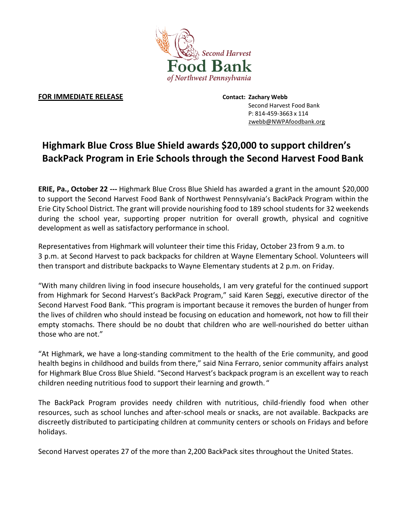

## **FOR IMMEDIATE RELEASE Contact: Zachary Webb**

Second Harvest Food Bank P: 814-459-3663 x 114 zwebb@NWPAfoodbank.org

## **Highmark Blue Cross Blue Shield awards \$20,000 to support children's BackPack Program in Erie Schools through the Second Harvest Food Bank**

**ERIE, Pa., October 22 ---** Highmark Blue Cross Blue Shield has awarded a grant in the amount \$20,000 to support the Second Harvest Food Bank of Northwest Pennsylvania's BackPack Program within the Erie City School District. The grant will provide nourishing food to 189 school students for 32 weekends during the school year, supporting proper nutrition for overall growth, physical and cognitive development as well as satisfactory performance in school.

Representatives from Highmark will volunteer their time this Friday, October 23 from 9 a.m. to 3 p.m. at Second Harvest to pack backpacks for children at Wayne Elementary School. Volunteers will then transport and distribute backpacks to Wayne Elementary students at 2 p.m. on Friday.

"With many children living in food insecure households, I am very grateful for the continued support from Highmark for Second Harvest's BackPack Program," said Karen Seggi, executive director of the Second Harvest Food Bank. "This program is important because it removes the burden of hunger from the lives of children who should instead be focusing on education and homework, not how to fill their empty stomachs. There should be no doubt that children who are well-nourished do better uithan those who are not."

"At Highmark, we have a long-standing commitment to the health of the Erie community, and good health begins in childhood and builds from there," said Nina Ferraro, senior community affairs analyst for Highmark Blue Cross Blue Shield. "Second Harvest's backpack program is an excellent way to reach children needing nutritious food to support their learning and growth. "

The BackPack Program provides needy children with nutritious, child-friendly food when other resources, such as school lunches and after-school meals or snacks, are not available. Backpacks are discreetly distributed to participating children at community centers or schools on Fridays and before holidays.

Second Harvest operates 27 of the more than 2,200 BackPack sites throughout the United States.